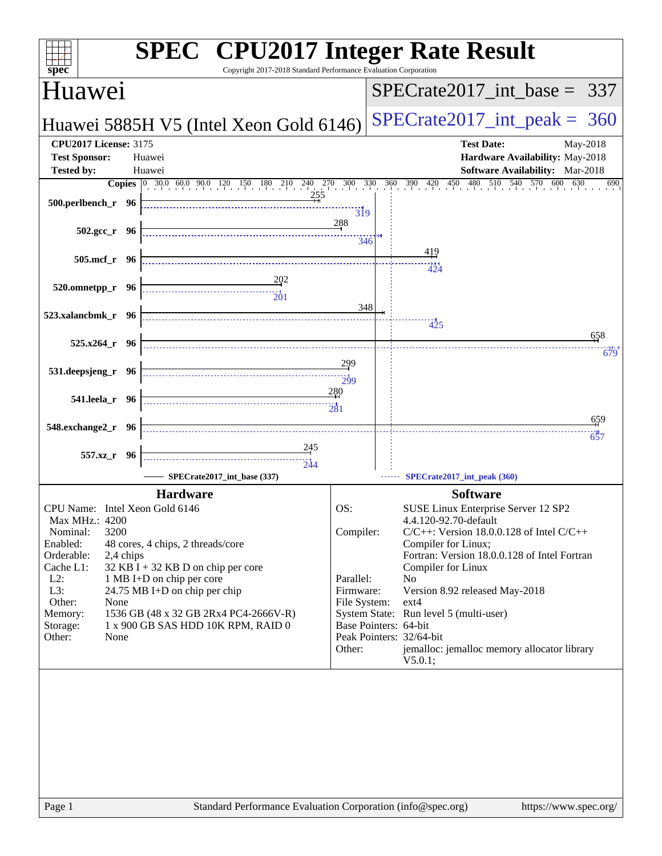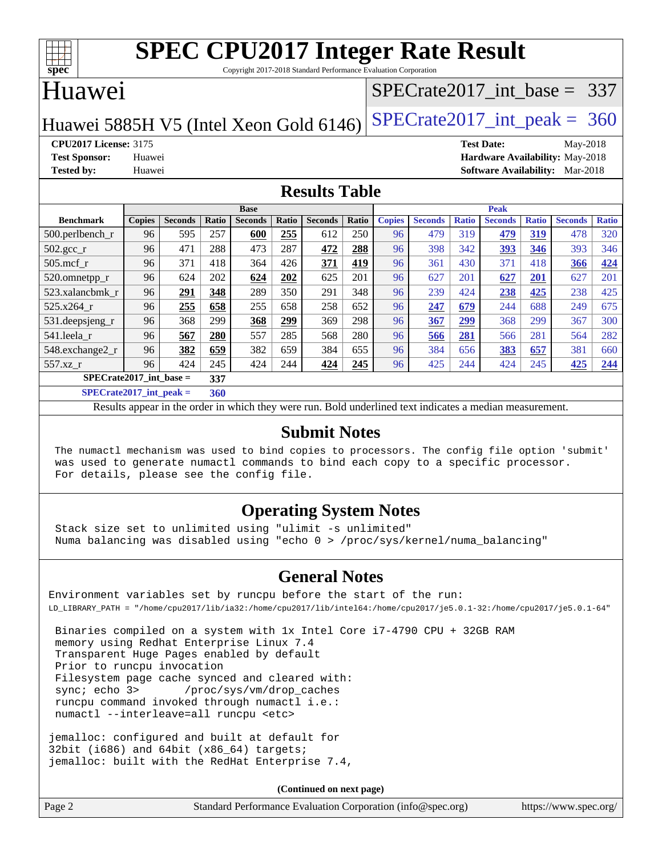

Copyright 2017-2018 Standard Performance Evaluation Corporation

## Huawei

### [SPECrate2017\\_int\\_base =](http://www.spec.org/auto/cpu2017/Docs/result-fields.html#SPECrate2017intbase) 337

Huawei 5885H V5 (Intel Xeon Gold 6146) SPECrate  $2017$  int peak = 360

**[CPU2017 License:](http://www.spec.org/auto/cpu2017/Docs/result-fields.html#CPU2017License)** 3175 **[Test Date:](http://www.spec.org/auto/cpu2017/Docs/result-fields.html#TestDate)** May-2018 **[Test Sponsor:](http://www.spec.org/auto/cpu2017/Docs/result-fields.html#TestSponsor)** Huawei **[Hardware Availability:](http://www.spec.org/auto/cpu2017/Docs/result-fields.html#HardwareAvailability)** May-2018 **[Tested by:](http://www.spec.org/auto/cpu2017/Docs/result-fields.html#Testedby)** Huawei **[Software Availability:](http://www.spec.org/auto/cpu2017/Docs/result-fields.html#SoftwareAvailability)** Mar-2018

### **[Results Table](http://www.spec.org/auto/cpu2017/Docs/result-fields.html#ResultsTable)**

|                           | <b>Base</b>                        |                |       |                |       |                | <b>Peak</b> |               |                |              |                |              |                |              |
|---------------------------|------------------------------------|----------------|-------|----------------|-------|----------------|-------------|---------------|----------------|--------------|----------------|--------------|----------------|--------------|
| <b>Benchmark</b>          | <b>Copies</b>                      | <b>Seconds</b> | Ratio | <b>Seconds</b> | Ratio | <b>Seconds</b> | Ratio       | <b>Copies</b> | <b>Seconds</b> | <b>Ratio</b> | <b>Seconds</b> | <b>Ratio</b> | <b>Seconds</b> | <b>Ratio</b> |
| $500.$ perlbench_r        | 96                                 | 595            | 257   | 600            | 255   | 612            | 250         | 96            | 479            | 319          | 479            | 319          | 478            | 320          |
| 502.gcc_r                 | 96                                 | 471            | 288   | 473            | 287   | 472            | 288         | 96            | 398            | 342          | 393            | 346          | 393            | 346          |
| $505$ .mcf r              | 96                                 | 371            | 418   | 364            | 426   | 371            | 419         | 96            | 361            | 430          | 371            | 418          | 366            | 424          |
| 520.omnetpp_r             | 96                                 | 624            | 202   | 624            | 202   | 625            | 201         | 96            | 627            | 201          | 627            | 201          | 627            | 201          |
| 523.xalancbmk r           | 96                                 | 291            | 348   | 289            | 350   | 291            | 348         | 96            | 239            | 424          | 238            | 425          | 238            | 425          |
| 525.x264 r                | 96                                 | 255            | 658   | 255            | 658   | 258            | 652         | 96            | 247            | 679          | 244            | 688          | 249            | 675          |
| 531.deepsjeng_r           | 96                                 | 368            | 299   | 368            | 299   | 369            | 298         | 96            | 367            | 299          | 368            | 299          | 367            | 300          |
| 541.leela r               | 96                                 | 567            | 280   | 557            | 285   | 568            | 280         | 96            | 566            | 281          | 566            | 281          | 564            | 282          |
| 548.exchange2_r           | 96                                 | 382            | 659   | 382            | 659   | 384            | 655         | 96            | 384            | 656          | 383            | 657          | 381            | 660          |
| 557.xz r                  | 96                                 | 424            | 245   | 424            | 244   | 424            | 245         | 96            | 425            | 244          | 424            | 245          | 425            | 244          |
| $SPECrate2017$ int base = |                                    |                | 337   |                |       |                |             |               |                |              |                |              |                |              |
| $\alpha$                  | $\sim$ $\sim$ $\sim$ $\sim$ $\sim$ |                | $ -$  |                |       |                |             |               |                |              |                |              |                |              |

**[SPECrate2017\\_int\\_peak =](http://www.spec.org/auto/cpu2017/Docs/result-fields.html#SPECrate2017intpeak) 360**

Results appear in the [order in which they were run](http://www.spec.org/auto/cpu2017/Docs/result-fields.html#RunOrder). Bold underlined text [indicates a median measurement](http://www.spec.org/auto/cpu2017/Docs/result-fields.html#Median).

### **[Submit Notes](http://www.spec.org/auto/cpu2017/Docs/result-fields.html#SubmitNotes)**

 The numactl mechanism was used to bind copies to processors. The config file option 'submit' was used to generate numactl commands to bind each copy to a specific processor. For details, please see the config file.

### **[Operating System Notes](http://www.spec.org/auto/cpu2017/Docs/result-fields.html#OperatingSystemNotes)**

 Stack size set to unlimited using "ulimit -s unlimited" Numa balancing was disabled using "echo 0 > /proc/sys/kernel/numa\_balancing"

### **[General Notes](http://www.spec.org/auto/cpu2017/Docs/result-fields.html#GeneralNotes)**

Environment variables set by runcpu before the start of the run: LD\_LIBRARY\_PATH = "/home/cpu2017/lib/ia32:/home/cpu2017/lib/intel64:/home/cpu2017/je5.0.1-32:/home/cpu2017/je5.0.1-64"

 Binaries compiled on a system with 1x Intel Core i7-4790 CPU + 32GB RAM memory using Redhat Enterprise Linux 7.4 Transparent Huge Pages enabled by default Prior to runcpu invocation Filesystem page cache synced and cleared with: sync; echo 3> /proc/sys/vm/drop\_caches runcpu command invoked through numactl i.e.: numactl --interleave=all runcpu <etc>

jemalloc: configured and built at default for 32bit (i686) and 64bit (x86\_64) targets; jemalloc: built with the RedHat Enterprise 7.4,

**(Continued on next page)**

| Standard Performance Evaluation Corporation (info@spec.org)<br>Page 2 | https://www.spec.org/ |
|-----------------------------------------------------------------------|-----------------------|
|-----------------------------------------------------------------------|-----------------------|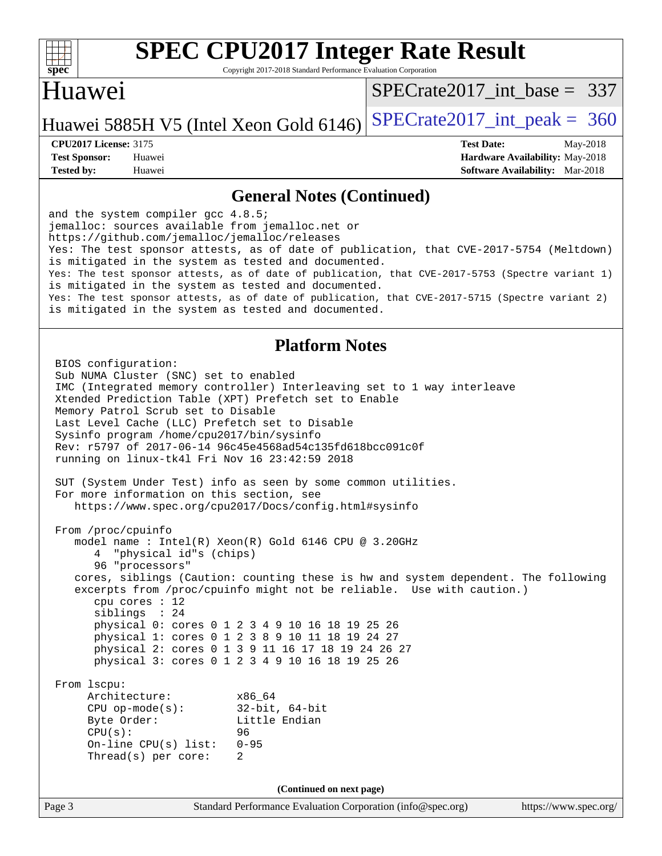

Copyright 2017-2018 Standard Performance Evaluation Corporation

## Huawei

[SPECrate2017\\_int\\_base =](http://www.spec.org/auto/cpu2017/Docs/result-fields.html#SPECrate2017intbase) 337

### Huawei 5885H V5 (Intel Xeon Gold 6146) SPECrate  $2017$  int peak = 360

**[Tested by:](http://www.spec.org/auto/cpu2017/Docs/result-fields.html#Testedby)** Huawei **[Software Availability:](http://www.spec.org/auto/cpu2017/Docs/result-fields.html#SoftwareAvailability)** Mar-2018

**[CPU2017 License:](http://www.spec.org/auto/cpu2017/Docs/result-fields.html#CPU2017License)** 3175 **[Test Date:](http://www.spec.org/auto/cpu2017/Docs/result-fields.html#TestDate)** May-2018 **[Test Sponsor:](http://www.spec.org/auto/cpu2017/Docs/result-fields.html#TestSponsor)** Huawei **[Hardware Availability:](http://www.spec.org/auto/cpu2017/Docs/result-fields.html#HardwareAvailability)** May-2018

### **[General Notes \(Continued\)](http://www.spec.org/auto/cpu2017/Docs/result-fields.html#GeneralNotes)**

and the system compiler gcc 4.8.5; jemalloc: sources available from jemalloc.net or <https://github.com/jemalloc/jemalloc/releases> Yes: The test sponsor attests, as of date of publication, that CVE-2017-5754 (Meltdown) is mitigated in the system as tested and documented. Yes: The test sponsor attests, as of date of publication, that CVE-2017-5753 (Spectre variant 1) is mitigated in the system as tested and documented. Yes: The test sponsor attests, as of date of publication, that CVE-2017-5715 (Spectre variant 2) is mitigated in the system as tested and documented.

### **[Platform Notes](http://www.spec.org/auto/cpu2017/Docs/result-fields.html#PlatformNotes)**

Page 3 Standard Performance Evaluation Corporation [\(info@spec.org\)](mailto:info@spec.org) <https://www.spec.org/> BIOS configuration: Sub NUMA Cluster (SNC) set to enabled IMC (Integrated memory controller) Interleaving set to 1 way interleave Xtended Prediction Table (XPT) Prefetch set to Enable Memory Patrol Scrub set to Disable Last Level Cache (LLC) Prefetch set to Disable Sysinfo program /home/cpu2017/bin/sysinfo Rev: r5797 of 2017-06-14 96c45e4568ad54c135fd618bcc091c0f running on linux-tk4l Fri Nov 16 23:42:59 2018 SUT (System Under Test) info as seen by some common utilities. For more information on this section, see <https://www.spec.org/cpu2017/Docs/config.html#sysinfo> From /proc/cpuinfo model name : Intel(R) Xeon(R) Gold 6146 CPU @ 3.20GHz 4 "physical id"s (chips) 96 "processors" cores, siblings (Caution: counting these is hw and system dependent. The following excerpts from /proc/cpuinfo might not be reliable. Use with caution.) cpu cores : 12 siblings : 24 physical 0: cores 0 1 2 3 4 9 10 16 18 19 25 26 physical 1: cores 0 1 2 3 8 9 10 11 18 19 24 27 physical 2: cores 0 1 3 9 11 16 17 18 19 24 26 27 physical 3: cores 0 1 2 3 4 9 10 16 18 19 25 26 From lscpu: Architecture: x86\_64 CPU op-mode(s): 32-bit, 64-bit Byte Order: Little Endian CPU(s): 96 On-line CPU(s) list: 0-95 Thread(s) per core: 2 **(Continued on next page)**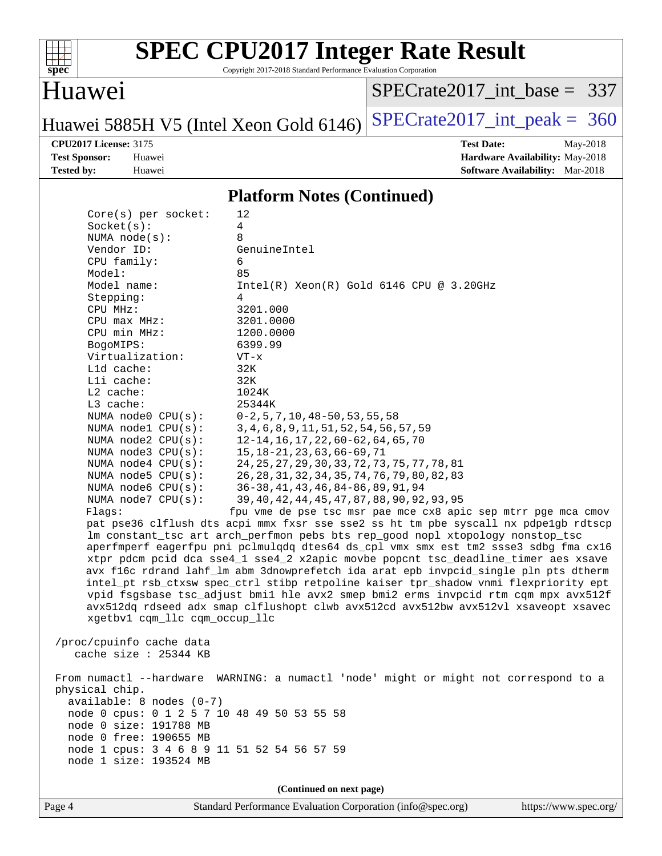

Copyright 2017-2018 Standard Performance Evaluation Corporation

### Huawei

[SPECrate2017\\_int\\_base =](http://www.spec.org/auto/cpu2017/Docs/result-fields.html#SPECrate2017intbase) 337

Huawei 5885H V5 (Intel Xeon Gold 6146) SPECrate 2017\_int\_peak =  $360$ 

**[CPU2017 License:](http://www.spec.org/auto/cpu2017/Docs/result-fields.html#CPU2017License)** 3175 **[Test Date:](http://www.spec.org/auto/cpu2017/Docs/result-fields.html#TestDate)** May-2018 **[Test Sponsor:](http://www.spec.org/auto/cpu2017/Docs/result-fields.html#TestSponsor)** Huawei **[Hardware Availability:](http://www.spec.org/auto/cpu2017/Docs/result-fields.html#HardwareAvailability)** May-2018 **[Tested by:](http://www.spec.org/auto/cpu2017/Docs/result-fields.html#Testedby)** Huawei **[Software Availability:](http://www.spec.org/auto/cpu2017/Docs/result-fields.html#SoftwareAvailability)** Mar-2018

### **[Platform Notes \(Continued\)](http://www.spec.org/auto/cpu2017/Docs/result-fields.html#PlatformNotes)**

| $Core(s)$ per socket:                                                                | 12                                                                                  |  |  |  |  |  |
|--------------------------------------------------------------------------------------|-------------------------------------------------------------------------------------|--|--|--|--|--|
| Socket(s):                                                                           | 4                                                                                   |  |  |  |  |  |
| NUMA $node(s):$                                                                      | 8                                                                                   |  |  |  |  |  |
| Vendor ID:                                                                           | GenuineIntel                                                                        |  |  |  |  |  |
| CPU family:                                                                          | 6                                                                                   |  |  |  |  |  |
| Model:                                                                               | 85                                                                                  |  |  |  |  |  |
| Model name:                                                                          | $Intel(R)$ Xeon $(R)$ Gold 6146 CPU @ 3.20GHz                                       |  |  |  |  |  |
| Stepping:                                                                            | 4                                                                                   |  |  |  |  |  |
| CPU MHz:                                                                             | 3201.000                                                                            |  |  |  |  |  |
| $CPU$ max $MHz$ :                                                                    | 3201.0000                                                                           |  |  |  |  |  |
| CPU min MHz:                                                                         | 1200.0000                                                                           |  |  |  |  |  |
| BogoMIPS:                                                                            | 6399.99                                                                             |  |  |  |  |  |
| Virtualization:                                                                      | $VT - x$                                                                            |  |  |  |  |  |
| L1d cache:                                                                           | 32K                                                                                 |  |  |  |  |  |
| Lli cache:                                                                           | 32K                                                                                 |  |  |  |  |  |
| L2 cache:                                                                            | 1024K                                                                               |  |  |  |  |  |
| L3 cache:                                                                            | 25344K                                                                              |  |  |  |  |  |
| NUMA node0 CPU(s):                                                                   | $0-2$ , 5, 7, 10, 48-50, 53, 55, 58                                                 |  |  |  |  |  |
| NUMA nodel CPU(s):                                                                   | 3, 4, 6, 8, 9, 11, 51, 52, 54, 56, 57, 59                                           |  |  |  |  |  |
| NUMA node2 CPU(s):                                                                   | 12-14, 16, 17, 22, 60-62, 64, 65, 70                                                |  |  |  |  |  |
| NUMA node3 CPU(s):                                                                   | 15, 18-21, 23, 63, 66-69, 71                                                        |  |  |  |  |  |
| NUMA $node4$ $CPU(s):$                                                               | 24, 25, 27, 29, 30, 33, 72, 73, 75, 77, 78, 81                                      |  |  |  |  |  |
| NUMA node5 $CPU(s):$                                                                 | 26, 28, 31, 32, 34, 35, 74, 76, 79, 80, 82, 83                                      |  |  |  |  |  |
| NUMA node6 CPU(s):                                                                   | 36-38, 41, 43, 46, 84-86, 89, 91, 94                                                |  |  |  |  |  |
| NUMA node7 CPU(s):                                                                   | 39, 40, 42, 44, 45, 47, 87, 88, 90, 92, 93, 95                                      |  |  |  |  |  |
| Flagg:                                                                               | fpu vme de pse tsc msr pae mce cx8 apic sep mtrr pge mca cmov                       |  |  |  |  |  |
|                                                                                      | pat pse36 clflush dts acpi mmx fxsr sse sse2 ss ht tm pbe syscall nx pdpelgb rdtscp |  |  |  |  |  |
|                                                                                      | lm constant_tsc art arch_perfmon pebs bts rep_good nopl xtopology nonstop_tsc       |  |  |  |  |  |
|                                                                                      | aperfmperf eagerfpu pni pclmulqdq dtes64 ds_cpl vmx smx est tm2 ssse3 sdbg fma cx16 |  |  |  |  |  |
|                                                                                      | xtpr pdcm pcid dca sse4_1 sse4_2 x2apic movbe popcnt tsc_deadline_timer aes xsave   |  |  |  |  |  |
| avx f16c rdrand lahf_lm abm 3dnowprefetch ida arat epb invpcid_single pln pts dtherm |                                                                                     |  |  |  |  |  |
| intel_pt rsb_ctxsw spec_ctrl stibp retpoline kaiser tpr_shadow vnmi flexpriority ept |                                                                                     |  |  |  |  |  |
|                                                                                      | vpid fsgsbase tsc_adjust bmil hle avx2 smep bmi2 erms invpcid rtm cqm mpx avx512f   |  |  |  |  |  |
|                                                                                      | avx512dq rdseed adx smap clflushopt clwb avx512cd avx512bw avx512vl xsaveopt xsavec |  |  |  |  |  |
| xgetbv1 cqm_llc cqm_occup_llc                                                        |                                                                                     |  |  |  |  |  |
|                                                                                      |                                                                                     |  |  |  |  |  |
| /proc/cpuinfo cache data                                                             |                                                                                     |  |  |  |  |  |
| cache size : 25344 KB                                                                |                                                                                     |  |  |  |  |  |
|                                                                                      |                                                                                     |  |  |  |  |  |
| From numactl --hardware                                                              | WARNING: a numactl 'node' might or might not correspond to a                        |  |  |  |  |  |
| physical chip.                                                                       |                                                                                     |  |  |  |  |  |
| available: 8 nodes (0-7)                                                             |                                                                                     |  |  |  |  |  |
| node 0 cpus: 0 1 2 5 7 10 48 49 50 53 55 58                                          |                                                                                     |  |  |  |  |  |
| node 0 size: 191788 MB                                                               |                                                                                     |  |  |  |  |  |
| node 0 free: 190655 MB                                                               |                                                                                     |  |  |  |  |  |
| node 1 cpus: 3 4 6 8 9 11 51 52 54 56 57 59                                          |                                                                                     |  |  |  |  |  |
| node 1 size: 193524 MB                                                               |                                                                                     |  |  |  |  |  |
|                                                                                      |                                                                                     |  |  |  |  |  |
|                                                                                      | (Continued on next page)                                                            |  |  |  |  |  |
|                                                                                      |                                                                                     |  |  |  |  |  |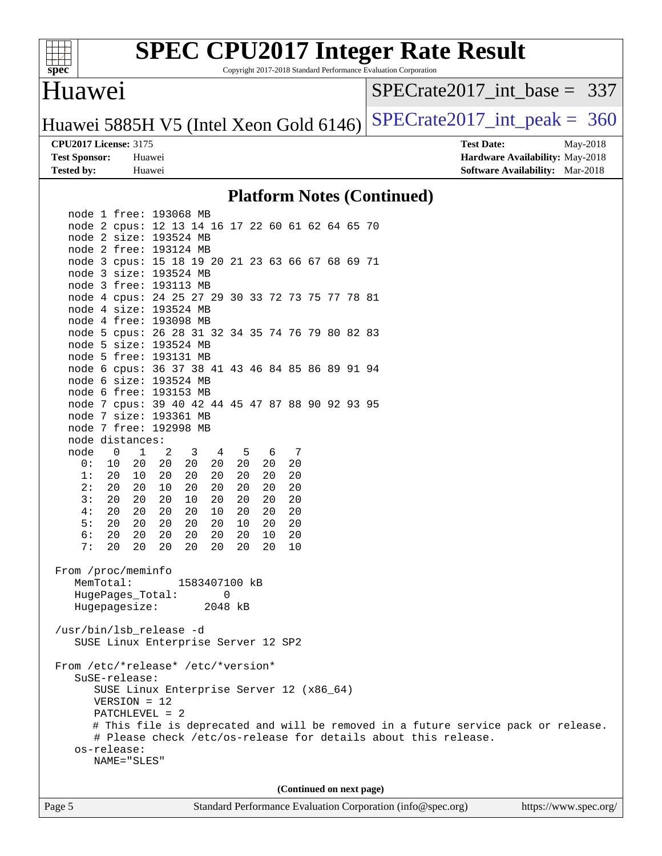

Copyright 2017-2018 Standard Performance Evaluation Corporation

### Huawei

[SPECrate2017\\_int\\_base =](http://www.spec.org/auto/cpu2017/Docs/result-fields.html#SPECrate2017intbase) 337

Huawei 5885H V5 (Intel Xeon Gold 6146) SPECrate  $2017$  int peak = 360

**[Tested by:](http://www.spec.org/auto/cpu2017/Docs/result-fields.html#Testedby)** Huawei **[Software Availability:](http://www.spec.org/auto/cpu2017/Docs/result-fields.html#SoftwareAvailability)** Mar-2018

**[CPU2017 License:](http://www.spec.org/auto/cpu2017/Docs/result-fields.html#CPU2017License)** 3175 **[Test Date:](http://www.spec.org/auto/cpu2017/Docs/result-fields.html#TestDate)** May-2018 **[Test Sponsor:](http://www.spec.org/auto/cpu2017/Docs/result-fields.html#TestSponsor)** Huawei **[Hardware Availability:](http://www.spec.org/auto/cpu2017/Docs/result-fields.html#HardwareAvailability)** May-2018

### **[Platform Notes \(Continued\)](http://www.spec.org/auto/cpu2017/Docs/result-fields.html#PlatformNotes)**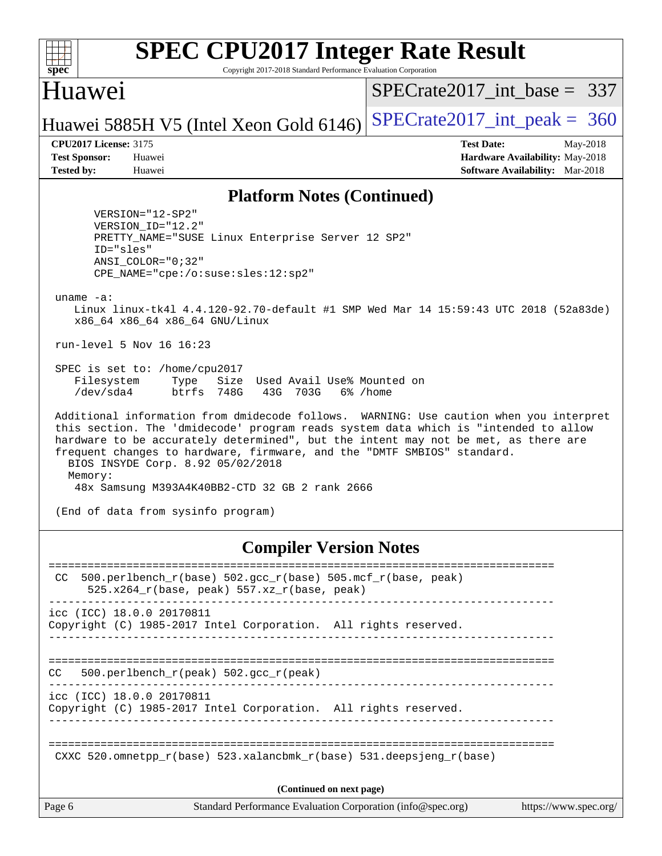

Copyright 2017-2018 Standard Performance Evaluation Corporation

### Huawei

[SPECrate2017\\_int\\_base =](http://www.spec.org/auto/cpu2017/Docs/result-fields.html#SPECrate2017intbase) 337

## Huawei 5885H V5 (Intel Xeon Gold 6146) SPECrate  $2017$  int peak = 360

**[CPU2017 License:](http://www.spec.org/auto/cpu2017/Docs/result-fields.html#CPU2017License)** 3175 **[Test Date:](http://www.spec.org/auto/cpu2017/Docs/result-fields.html#TestDate)** May-2018 **[Test Sponsor:](http://www.spec.org/auto/cpu2017/Docs/result-fields.html#TestSponsor)** Huawei **[Hardware Availability:](http://www.spec.org/auto/cpu2017/Docs/result-fields.html#HardwareAvailability)** May-2018 **[Tested by:](http://www.spec.org/auto/cpu2017/Docs/result-fields.html#Testedby)** Huawei **[Software Availability:](http://www.spec.org/auto/cpu2017/Docs/result-fields.html#SoftwareAvailability)** Mar-2018

### **[Platform Notes \(Continued\)](http://www.spec.org/auto/cpu2017/Docs/result-fields.html#PlatformNotes)**

 VERSION="12-SP2" VERSION\_ID="12.2" PRETTY\_NAME="SUSE Linux Enterprise Server 12 SP2" ID="sles" ANSI\_COLOR="0;32" CPE\_NAME="cpe:/o:suse:sles:12:sp2"

uname -a:

 Linux linux-tk4l 4.4.120-92.70-default #1 SMP Wed Mar 14 15:59:43 UTC 2018 (52a83de) x86\_64 x86\_64 x86\_64 GNU/Linux

run-level 5 Nov 16 16:23

 SPEC is set to: /home/cpu2017 Filesystem Type Size Used Avail Use% Mounted on /dev/sda4 btrfs 748G 43G 703G 6% /home

 Additional information from dmidecode follows. WARNING: Use caution when you interpret this section. The 'dmidecode' program reads system data which is "intended to allow hardware to be accurately determined", but the intent may not be met, as there are frequent changes to hardware, firmware, and the "DMTF SMBIOS" standard. BIOS INSYDE Corp. 8.92 05/02/2018 Memory: 48x Samsung M393A4K40BB2-CTD 32 GB 2 rank 2666

(End of data from sysinfo program)

### **[Compiler Version Notes](http://www.spec.org/auto/cpu2017/Docs/result-fields.html#CompilerVersionNotes)**

Page 6 Standard Performance Evaluation Corporation [\(info@spec.org\)](mailto:info@spec.org) <https://www.spec.org/> ============================================================================== CC 500.perlbench  $r(base)$  502.gcc  $r(base)$  505.mcf  $r(base, peak)$  $525.x264_r(base, peak)$  557.xz $r(base, peak)$ ----------------------------------------------------------------------------- icc (ICC) 18.0.0 20170811 Copyright (C) 1985-2017 Intel Corporation. All rights reserved. ------------------------------------------------------------------------------ ============================================================================== CC 500.perlbench\_r(peak) 502.gcc\_r(peak) ----------------------------------------------------------------------------- icc (ICC) 18.0.0 20170811 Copyright (C) 1985-2017 Intel Corporation. All rights reserved. ------------------------------------------------------------------------------ ============================================================================== CXXC 520.omnetpp  $r(base)$  523.xalancbmk  $r(base)$  531.deepsjeng  $r(base)$ **(Continued on next page)**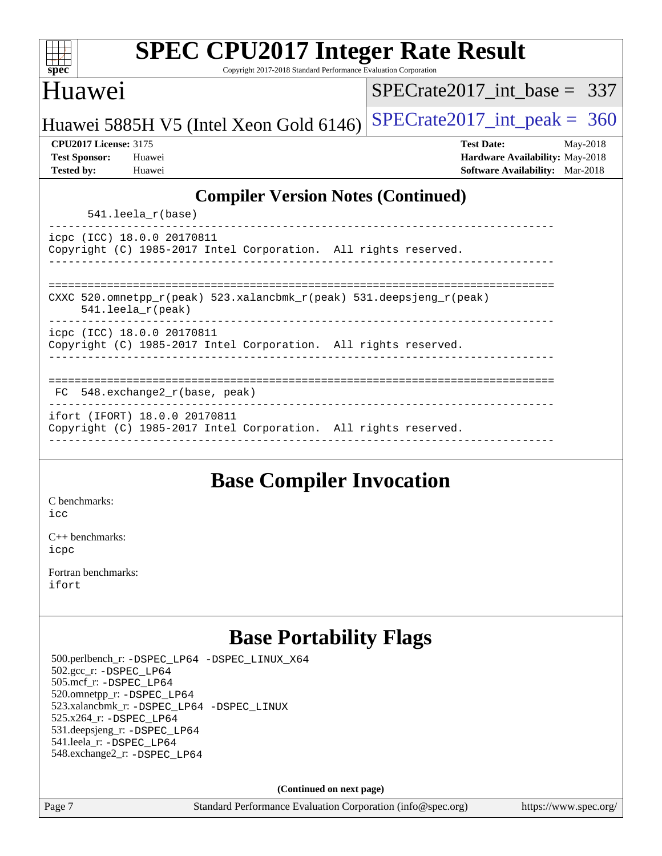| <b>SPEC CPU2017 Integer Rate Result</b><br>Copyright 2017-2018 Standard Performance Evaluation Corporation<br>$spec*$ |                                        |  |  |  |  |  |
|-----------------------------------------------------------------------------------------------------------------------|----------------------------------------|--|--|--|--|--|
| Huawei                                                                                                                | $SPECrate2017$ int base = 337          |  |  |  |  |  |
| Huawei 5885H V5 (Intel Xeon Gold 6146)                                                                                | $SPECrate2017\_int\_peak = 360$        |  |  |  |  |  |
| <b>CPU2017 License: 3175</b>                                                                                          | <b>Test Date:</b><br>May-2018          |  |  |  |  |  |
| <b>Test Sponsor:</b><br>Huawei                                                                                        | Hardware Availability: May-2018        |  |  |  |  |  |
| <b>Tested by:</b><br>Huawei                                                                                           | <b>Software Availability:</b> Mar-2018 |  |  |  |  |  |
| <b>Compiler Version Notes (Continued)</b>                                                                             |                                        |  |  |  |  |  |
| $541.$ leela $r(base)$                                                                                                |                                        |  |  |  |  |  |
| icpc (ICC) 18.0.0 20170811                                                                                            |                                        |  |  |  |  |  |
| Copyright (C) 1985-2017 Intel Corporation. All rights reserved.                                                       |                                        |  |  |  |  |  |
|                                                                                                                       |                                        |  |  |  |  |  |
| CXXC 520.omnetpp_r(peak) 523.xalancbmk_r(peak) 531.deepsjeng_r(peak)<br>$541.$ leela_r(peak)                          |                                        |  |  |  |  |  |
| icpc (ICC) 18.0.0 20170811                                                                                            |                                        |  |  |  |  |  |
| Copyright (C) 1985-2017 Intel Corporation. All rights reserved.                                                       |                                        |  |  |  |  |  |
|                                                                                                                       |                                        |  |  |  |  |  |
| FC 548.exchange2_r(base, peak)                                                                                        |                                        |  |  |  |  |  |
| ifort (IFORT) 18.0.0 20170811<br>Copyright (C) 1985-2017 Intel Corporation. All rights reserved.                      |                                        |  |  |  |  |  |
|                                                                                                                       |                                        |  |  |  |  |  |
|                                                                                                                       |                                        |  |  |  |  |  |

## **[Base Compiler Invocation](http://www.spec.org/auto/cpu2017/Docs/result-fields.html#BaseCompilerInvocation)**

[C benchmarks](http://www.spec.org/auto/cpu2017/Docs/result-fields.html#Cbenchmarks): [icc](http://www.spec.org/cpu2017/results/res2018q4/cpu2017-20181118-09822.flags.html#user_CCbase_intel_icc_18.0_66fc1ee009f7361af1fbd72ca7dcefbb700085f36577c54f309893dd4ec40d12360134090235512931783d35fd58c0460139e722d5067c5574d8eaf2b3e37e92)

[C++ benchmarks:](http://www.spec.org/auto/cpu2017/Docs/result-fields.html#CXXbenchmarks) [icpc](http://www.spec.org/cpu2017/results/res2018q4/cpu2017-20181118-09822.flags.html#user_CXXbase_intel_icpc_18.0_c510b6838c7f56d33e37e94d029a35b4a7bccf4766a728ee175e80a419847e808290a9b78be685c44ab727ea267ec2f070ec5dc83b407c0218cded6866a35d07)

[Fortran benchmarks](http://www.spec.org/auto/cpu2017/Docs/result-fields.html#Fortranbenchmarks): [ifort](http://www.spec.org/cpu2017/results/res2018q4/cpu2017-20181118-09822.flags.html#user_FCbase_intel_ifort_18.0_8111460550e3ca792625aed983ce982f94888b8b503583aa7ba2b8303487b4d8a21a13e7191a45c5fd58ff318f48f9492884d4413fa793fd88dd292cad7027ca)

## **[Base Portability Flags](http://www.spec.org/auto/cpu2017/Docs/result-fields.html#BasePortabilityFlags)**

 500.perlbench\_r: [-DSPEC\\_LP64](http://www.spec.org/cpu2017/results/res2018q4/cpu2017-20181118-09822.flags.html#b500.perlbench_r_basePORTABILITY_DSPEC_LP64) [-DSPEC\\_LINUX\\_X64](http://www.spec.org/cpu2017/results/res2018q4/cpu2017-20181118-09822.flags.html#b500.perlbench_r_baseCPORTABILITY_DSPEC_LINUX_X64) 502.gcc\_r: [-DSPEC\\_LP64](http://www.spec.org/cpu2017/results/res2018q4/cpu2017-20181118-09822.flags.html#suite_basePORTABILITY502_gcc_r_DSPEC_LP64) 505.mcf\_r: [-DSPEC\\_LP64](http://www.spec.org/cpu2017/results/res2018q4/cpu2017-20181118-09822.flags.html#suite_basePORTABILITY505_mcf_r_DSPEC_LP64) 520.omnetpp\_r: [-DSPEC\\_LP64](http://www.spec.org/cpu2017/results/res2018q4/cpu2017-20181118-09822.flags.html#suite_basePORTABILITY520_omnetpp_r_DSPEC_LP64) 523.xalancbmk\_r: [-DSPEC\\_LP64](http://www.spec.org/cpu2017/results/res2018q4/cpu2017-20181118-09822.flags.html#suite_basePORTABILITY523_xalancbmk_r_DSPEC_LP64) [-DSPEC\\_LINUX](http://www.spec.org/cpu2017/results/res2018q4/cpu2017-20181118-09822.flags.html#b523.xalancbmk_r_baseCXXPORTABILITY_DSPEC_LINUX) 525.x264\_r: [-DSPEC\\_LP64](http://www.spec.org/cpu2017/results/res2018q4/cpu2017-20181118-09822.flags.html#suite_basePORTABILITY525_x264_r_DSPEC_LP64) 531.deepsjeng\_r: [-DSPEC\\_LP64](http://www.spec.org/cpu2017/results/res2018q4/cpu2017-20181118-09822.flags.html#suite_basePORTABILITY531_deepsjeng_r_DSPEC_LP64) 541.leela\_r: [-DSPEC\\_LP64](http://www.spec.org/cpu2017/results/res2018q4/cpu2017-20181118-09822.flags.html#suite_basePORTABILITY541_leela_r_DSPEC_LP64) 548.exchange2\_r: [-DSPEC\\_LP64](http://www.spec.org/cpu2017/results/res2018q4/cpu2017-20181118-09822.flags.html#suite_basePORTABILITY548_exchange2_r_DSPEC_LP64)

**(Continued on next page)**

Page 7 Standard Performance Evaluation Corporation [\(info@spec.org\)](mailto:info@spec.org) <https://www.spec.org/>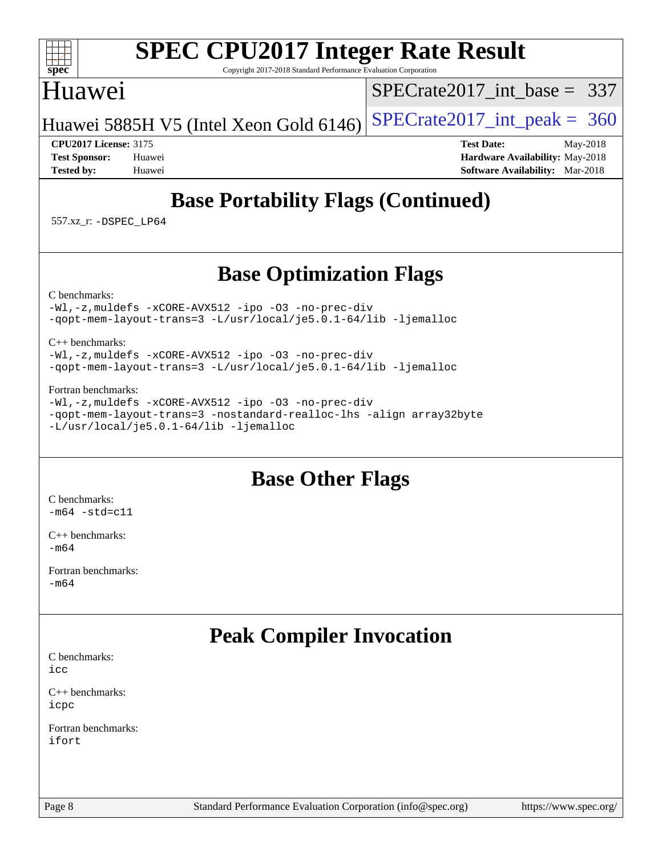### $+\ +$ [spec](http://www.spec.org/)<sup>®</sup>

# **[SPEC CPU2017 Integer Rate Result](http://www.spec.org/auto/cpu2017/Docs/result-fields.html#SPECCPU2017IntegerRateResult)**

Copyright 2017-2018 Standard Performance Evaluation Corporation

## Huawei

[SPECrate2017\\_int\\_base =](http://www.spec.org/auto/cpu2017/Docs/result-fields.html#SPECrate2017intbase) 337

Huawei 5885H V5 (Intel Xeon Gold 6146) SPECrate  $2017$  int peak = 360

**[CPU2017 License:](http://www.spec.org/auto/cpu2017/Docs/result-fields.html#CPU2017License)** 3175 **[Test Date:](http://www.spec.org/auto/cpu2017/Docs/result-fields.html#TestDate)** May-2018 **[Test Sponsor:](http://www.spec.org/auto/cpu2017/Docs/result-fields.html#TestSponsor)** Huawei **[Hardware Availability:](http://www.spec.org/auto/cpu2017/Docs/result-fields.html#HardwareAvailability)** May-2018 **[Tested by:](http://www.spec.org/auto/cpu2017/Docs/result-fields.html#Testedby)** Huawei **[Software Availability:](http://www.spec.org/auto/cpu2017/Docs/result-fields.html#SoftwareAvailability)** Mar-2018

# **[Base Portability Flags \(Continued\)](http://www.spec.org/auto/cpu2017/Docs/result-fields.html#BasePortabilityFlags)**

557.xz\_r: [-DSPEC\\_LP64](http://www.spec.org/cpu2017/results/res2018q4/cpu2017-20181118-09822.flags.html#suite_basePORTABILITY557_xz_r_DSPEC_LP64)

# **[Base Optimization Flags](http://www.spec.org/auto/cpu2017/Docs/result-fields.html#BaseOptimizationFlags)**

[C benchmarks](http://www.spec.org/auto/cpu2017/Docs/result-fields.html#Cbenchmarks):

[-Wl,-z,muldefs](http://www.spec.org/cpu2017/results/res2018q4/cpu2017-20181118-09822.flags.html#user_CCbase_link_force_multiple1_b4cbdb97b34bdee9ceefcfe54f4c8ea74255f0b02a4b23e853cdb0e18eb4525ac79b5a88067c842dd0ee6996c24547a27a4b99331201badda8798ef8a743f577) [-xCORE-AVX512](http://www.spec.org/cpu2017/results/res2018q4/cpu2017-20181118-09822.flags.html#user_CCbase_f-xCORE-AVX512) [-ipo](http://www.spec.org/cpu2017/results/res2018q4/cpu2017-20181118-09822.flags.html#user_CCbase_f-ipo) [-O3](http://www.spec.org/cpu2017/results/res2018q4/cpu2017-20181118-09822.flags.html#user_CCbase_f-O3) [-no-prec-div](http://www.spec.org/cpu2017/results/res2018q4/cpu2017-20181118-09822.flags.html#user_CCbase_f-no-prec-div) [-qopt-mem-layout-trans=3](http://www.spec.org/cpu2017/results/res2018q4/cpu2017-20181118-09822.flags.html#user_CCbase_f-qopt-mem-layout-trans_de80db37974c74b1f0e20d883f0b675c88c3b01e9d123adea9b28688d64333345fb62bc4a798493513fdb68f60282f9a726aa07f478b2f7113531aecce732043) [-L/usr/local/je5.0.1-64/lib](http://www.spec.org/cpu2017/results/res2018q4/cpu2017-20181118-09822.flags.html#user_CCbase_jemalloc_link_path64_4b10a636b7bce113509b17f3bd0d6226c5fb2346b9178c2d0232c14f04ab830f976640479e5c33dc2bcbbdad86ecfb6634cbbd4418746f06f368b512fced5394) [-ljemalloc](http://www.spec.org/cpu2017/results/res2018q4/cpu2017-20181118-09822.flags.html#user_CCbase_jemalloc_link_lib_d1249b907c500fa1c0672f44f562e3d0f79738ae9e3c4a9c376d49f265a04b9c99b167ecedbf6711b3085be911c67ff61f150a17b3472be731631ba4d0471706)

[C++ benchmarks:](http://www.spec.org/auto/cpu2017/Docs/result-fields.html#CXXbenchmarks)

[-Wl,-z,muldefs](http://www.spec.org/cpu2017/results/res2018q4/cpu2017-20181118-09822.flags.html#user_CXXbase_link_force_multiple1_b4cbdb97b34bdee9ceefcfe54f4c8ea74255f0b02a4b23e853cdb0e18eb4525ac79b5a88067c842dd0ee6996c24547a27a4b99331201badda8798ef8a743f577) [-xCORE-AVX512](http://www.spec.org/cpu2017/results/res2018q4/cpu2017-20181118-09822.flags.html#user_CXXbase_f-xCORE-AVX512) [-ipo](http://www.spec.org/cpu2017/results/res2018q4/cpu2017-20181118-09822.flags.html#user_CXXbase_f-ipo) [-O3](http://www.spec.org/cpu2017/results/res2018q4/cpu2017-20181118-09822.flags.html#user_CXXbase_f-O3) [-no-prec-div](http://www.spec.org/cpu2017/results/res2018q4/cpu2017-20181118-09822.flags.html#user_CXXbase_f-no-prec-div) [-qopt-mem-layout-trans=3](http://www.spec.org/cpu2017/results/res2018q4/cpu2017-20181118-09822.flags.html#user_CXXbase_f-qopt-mem-layout-trans_de80db37974c74b1f0e20d883f0b675c88c3b01e9d123adea9b28688d64333345fb62bc4a798493513fdb68f60282f9a726aa07f478b2f7113531aecce732043) [-L/usr/local/je5.0.1-64/lib](http://www.spec.org/cpu2017/results/res2018q4/cpu2017-20181118-09822.flags.html#user_CXXbase_jemalloc_link_path64_4b10a636b7bce113509b17f3bd0d6226c5fb2346b9178c2d0232c14f04ab830f976640479e5c33dc2bcbbdad86ecfb6634cbbd4418746f06f368b512fced5394) [-ljemalloc](http://www.spec.org/cpu2017/results/res2018q4/cpu2017-20181118-09822.flags.html#user_CXXbase_jemalloc_link_lib_d1249b907c500fa1c0672f44f562e3d0f79738ae9e3c4a9c376d49f265a04b9c99b167ecedbf6711b3085be911c67ff61f150a17b3472be731631ba4d0471706)

### [Fortran benchmarks](http://www.spec.org/auto/cpu2017/Docs/result-fields.html#Fortranbenchmarks):

[-Wl,-z,muldefs](http://www.spec.org/cpu2017/results/res2018q4/cpu2017-20181118-09822.flags.html#user_FCbase_link_force_multiple1_b4cbdb97b34bdee9ceefcfe54f4c8ea74255f0b02a4b23e853cdb0e18eb4525ac79b5a88067c842dd0ee6996c24547a27a4b99331201badda8798ef8a743f577) [-xCORE-AVX512](http://www.spec.org/cpu2017/results/res2018q4/cpu2017-20181118-09822.flags.html#user_FCbase_f-xCORE-AVX512) [-ipo](http://www.spec.org/cpu2017/results/res2018q4/cpu2017-20181118-09822.flags.html#user_FCbase_f-ipo) [-O3](http://www.spec.org/cpu2017/results/res2018q4/cpu2017-20181118-09822.flags.html#user_FCbase_f-O3) [-no-prec-div](http://www.spec.org/cpu2017/results/res2018q4/cpu2017-20181118-09822.flags.html#user_FCbase_f-no-prec-div) [-qopt-mem-layout-trans=3](http://www.spec.org/cpu2017/results/res2018q4/cpu2017-20181118-09822.flags.html#user_FCbase_f-qopt-mem-layout-trans_de80db37974c74b1f0e20d883f0b675c88c3b01e9d123adea9b28688d64333345fb62bc4a798493513fdb68f60282f9a726aa07f478b2f7113531aecce732043) [-nostandard-realloc-lhs](http://www.spec.org/cpu2017/results/res2018q4/cpu2017-20181118-09822.flags.html#user_FCbase_f_2003_std_realloc_82b4557e90729c0f113870c07e44d33d6f5a304b4f63d4c15d2d0f1fab99f5daaed73bdb9275d9ae411527f28b936061aa8b9c8f2d63842963b95c9dd6426b8a) [-align array32byte](http://www.spec.org/cpu2017/results/res2018q4/cpu2017-20181118-09822.flags.html#user_FCbase_align_array32byte_b982fe038af199962ba9a80c053b8342c548c85b40b8e86eb3cc33dee0d7986a4af373ac2d51c3f7cf710a18d62fdce2948f201cd044323541f22fc0fffc51b6) [-L/usr/local/je5.0.1-64/lib](http://www.spec.org/cpu2017/results/res2018q4/cpu2017-20181118-09822.flags.html#user_FCbase_jemalloc_link_path64_4b10a636b7bce113509b17f3bd0d6226c5fb2346b9178c2d0232c14f04ab830f976640479e5c33dc2bcbbdad86ecfb6634cbbd4418746f06f368b512fced5394) [-ljemalloc](http://www.spec.org/cpu2017/results/res2018q4/cpu2017-20181118-09822.flags.html#user_FCbase_jemalloc_link_lib_d1249b907c500fa1c0672f44f562e3d0f79738ae9e3c4a9c376d49f265a04b9c99b167ecedbf6711b3085be911c67ff61f150a17b3472be731631ba4d0471706)

## **[Base Other Flags](http://www.spec.org/auto/cpu2017/Docs/result-fields.html#BaseOtherFlags)**

[C benchmarks](http://www.spec.org/auto/cpu2017/Docs/result-fields.html#Cbenchmarks):  $-m64 - std= c11$  $-m64 - std= c11$ 

[C++ benchmarks:](http://www.spec.org/auto/cpu2017/Docs/result-fields.html#CXXbenchmarks) [-m64](http://www.spec.org/cpu2017/results/res2018q4/cpu2017-20181118-09822.flags.html#user_CXXbase_intel_intel64_18.0_af43caccfc8ded86e7699f2159af6efc7655f51387b94da716254467f3c01020a5059329e2569e4053f409e7c9202a7efc638f7a6d1ffb3f52dea4a3e31d82ab)

[Fortran benchmarks](http://www.spec.org/auto/cpu2017/Docs/result-fields.html#Fortranbenchmarks): [-m64](http://www.spec.org/cpu2017/results/res2018q4/cpu2017-20181118-09822.flags.html#user_FCbase_intel_intel64_18.0_af43caccfc8ded86e7699f2159af6efc7655f51387b94da716254467f3c01020a5059329e2569e4053f409e7c9202a7efc638f7a6d1ffb3f52dea4a3e31d82ab)

# **[Peak Compiler Invocation](http://www.spec.org/auto/cpu2017/Docs/result-fields.html#PeakCompilerInvocation)**

[C benchmarks](http://www.spec.org/auto/cpu2017/Docs/result-fields.html#Cbenchmarks): [icc](http://www.spec.org/cpu2017/results/res2018q4/cpu2017-20181118-09822.flags.html#user_CCpeak_intel_icc_18.0_66fc1ee009f7361af1fbd72ca7dcefbb700085f36577c54f309893dd4ec40d12360134090235512931783d35fd58c0460139e722d5067c5574d8eaf2b3e37e92)

[C++ benchmarks:](http://www.spec.org/auto/cpu2017/Docs/result-fields.html#CXXbenchmarks) [icpc](http://www.spec.org/cpu2017/results/res2018q4/cpu2017-20181118-09822.flags.html#user_CXXpeak_intel_icpc_18.0_c510b6838c7f56d33e37e94d029a35b4a7bccf4766a728ee175e80a419847e808290a9b78be685c44ab727ea267ec2f070ec5dc83b407c0218cded6866a35d07)

[Fortran benchmarks](http://www.spec.org/auto/cpu2017/Docs/result-fields.html#Fortranbenchmarks): [ifort](http://www.spec.org/cpu2017/results/res2018q4/cpu2017-20181118-09822.flags.html#user_FCpeak_intel_ifort_18.0_8111460550e3ca792625aed983ce982f94888b8b503583aa7ba2b8303487b4d8a21a13e7191a45c5fd58ff318f48f9492884d4413fa793fd88dd292cad7027ca)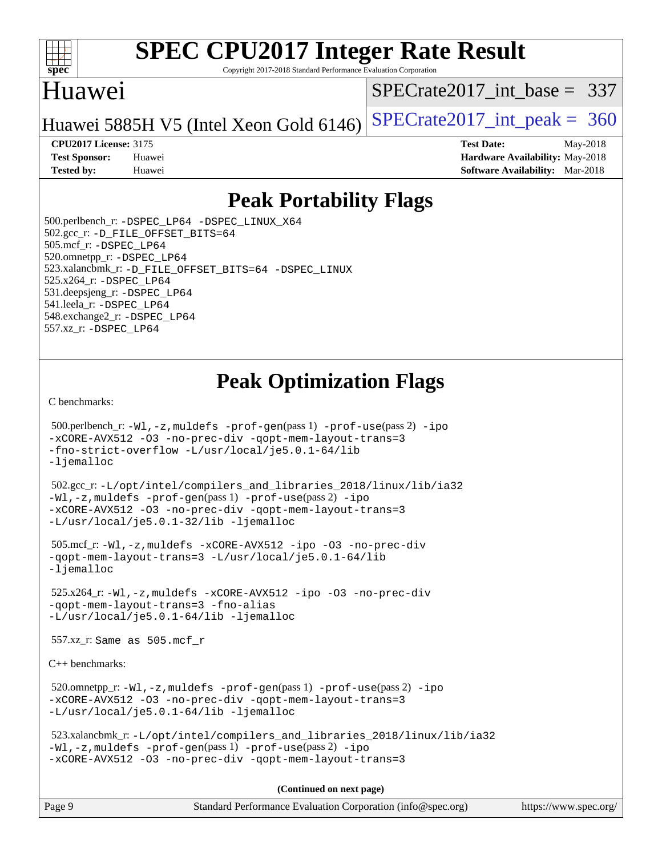

Copyright 2017-2018 Standard Performance Evaluation Corporation

## Huawei

[SPECrate2017\\_int\\_base =](http://www.spec.org/auto/cpu2017/Docs/result-fields.html#SPECrate2017intbase) 337

Huawei 5885H V5 (Intel Xeon Gold 6146) SPECrate  $2017$  int peak = 360

**[CPU2017 License:](http://www.spec.org/auto/cpu2017/Docs/result-fields.html#CPU2017License)** 3175 **[Test Date:](http://www.spec.org/auto/cpu2017/Docs/result-fields.html#TestDate)** May-2018 **[Test Sponsor:](http://www.spec.org/auto/cpu2017/Docs/result-fields.html#TestSponsor)** Huawei **[Hardware Availability:](http://www.spec.org/auto/cpu2017/Docs/result-fields.html#HardwareAvailability)** May-2018 **[Tested by:](http://www.spec.org/auto/cpu2017/Docs/result-fields.html#Testedby)** Huawei **[Software Availability:](http://www.spec.org/auto/cpu2017/Docs/result-fields.html#SoftwareAvailability)** Mar-2018

# **[Peak Portability Flags](http://www.spec.org/auto/cpu2017/Docs/result-fields.html#PeakPortabilityFlags)**

 500.perlbench\_r: [-DSPEC\\_LP64](http://www.spec.org/cpu2017/results/res2018q4/cpu2017-20181118-09822.flags.html#b500.perlbench_r_peakPORTABILITY_DSPEC_LP64) [-DSPEC\\_LINUX\\_X64](http://www.spec.org/cpu2017/results/res2018q4/cpu2017-20181118-09822.flags.html#b500.perlbench_r_peakCPORTABILITY_DSPEC_LINUX_X64) 502.gcc\_r: [-D\\_FILE\\_OFFSET\\_BITS=64](http://www.spec.org/cpu2017/results/res2018q4/cpu2017-20181118-09822.flags.html#user_peakPORTABILITY502_gcc_r_file_offset_bits_64_5ae949a99b284ddf4e95728d47cb0843d81b2eb0e18bdfe74bbf0f61d0b064f4bda2f10ea5eb90e1dcab0e84dbc592acfc5018bc955c18609f94ddb8d550002c) 505.mcf\_r: [-DSPEC\\_LP64](http://www.spec.org/cpu2017/results/res2018q4/cpu2017-20181118-09822.flags.html#suite_peakPORTABILITY505_mcf_r_DSPEC_LP64) 520.omnetpp\_r: [-DSPEC\\_LP64](http://www.spec.org/cpu2017/results/res2018q4/cpu2017-20181118-09822.flags.html#suite_peakPORTABILITY520_omnetpp_r_DSPEC_LP64) 523.xalancbmk\_r: [-D\\_FILE\\_OFFSET\\_BITS=64](http://www.spec.org/cpu2017/results/res2018q4/cpu2017-20181118-09822.flags.html#user_peakPORTABILITY523_xalancbmk_r_file_offset_bits_64_5ae949a99b284ddf4e95728d47cb0843d81b2eb0e18bdfe74bbf0f61d0b064f4bda2f10ea5eb90e1dcab0e84dbc592acfc5018bc955c18609f94ddb8d550002c) [-DSPEC\\_LINUX](http://www.spec.org/cpu2017/results/res2018q4/cpu2017-20181118-09822.flags.html#b523.xalancbmk_r_peakCXXPORTABILITY_DSPEC_LINUX) 525.x264\_r: [-DSPEC\\_LP64](http://www.spec.org/cpu2017/results/res2018q4/cpu2017-20181118-09822.flags.html#suite_peakPORTABILITY525_x264_r_DSPEC_LP64) 531.deepsjeng\_r: [-DSPEC\\_LP64](http://www.spec.org/cpu2017/results/res2018q4/cpu2017-20181118-09822.flags.html#suite_peakPORTABILITY531_deepsjeng_r_DSPEC_LP64) 541.leela\_r: [-DSPEC\\_LP64](http://www.spec.org/cpu2017/results/res2018q4/cpu2017-20181118-09822.flags.html#suite_peakPORTABILITY541_leela_r_DSPEC_LP64) 548.exchange2\_r: [-DSPEC\\_LP64](http://www.spec.org/cpu2017/results/res2018q4/cpu2017-20181118-09822.flags.html#suite_peakPORTABILITY548_exchange2_r_DSPEC_LP64) 557.xz\_r: [-DSPEC\\_LP64](http://www.spec.org/cpu2017/results/res2018q4/cpu2017-20181118-09822.flags.html#suite_peakPORTABILITY557_xz_r_DSPEC_LP64)

# **[Peak Optimization Flags](http://www.spec.org/auto/cpu2017/Docs/result-fields.html#PeakOptimizationFlags)**

[C benchmarks](http://www.spec.org/auto/cpu2017/Docs/result-fields.html#Cbenchmarks):

```
 500.perlbench_r: -Wl,-z,muldefs -prof-gen(pass 1) -prof-use(pass 2) -ipo
-xCORE-AVX512 -O3 -no-prec-div -qopt-mem-layout-trans=3
-fno-strict-overflow -L/usr/local/je5.0.1-64/lib
-ljemalloc
 502.gcc_r: -L/opt/intel/compilers_and_libraries_2018/linux/lib/ia32
-Wl,-z,muldefs -prof-gen(pass 1) -prof-use(pass 2) -ipo
-xCORE-AVX512 -O3 -no-prec-div -qopt-mem-layout-trans=3
-L/usr/local/je5.0.1-32/lib -ljemalloc
 505.mcf_r: -Wl,-z,muldefs -xCORE-AVX512 -ipo -O3 -no-prec-div
-qopt-mem-layout-trans=3 -L/usr/local/je5.0.1-64/lib
-ljemalloc
 525.x264_r: -Wl,-z,muldefs -xCORE-AVX512 -ipo -O3 -no-prec-div
-qopt-mem-layout-trans=3 -fno-alias
-L/usr/local/je5.0.1-64/lib -ljemalloc
 557.xz_r: Same as 505.mcf_r
C++ benchmarks: 
 520.omnetpp_r: -Wl,-z,muldefs -prof-gen(pass 1) -prof-use(pass 2) -ipo
-xCORE-AVX512 -O3 -no-prec-div -qopt-mem-layout-trans=3
-L/usr/local/je5.0.1-64/lib -ljemalloc
 523.xalancbmk_r: -L/opt/intel/compilers_and_libraries_2018/linux/lib/ia32
-Wl,-z,muldefs -prof-gen(pass 1) -prof-use(pass 2) -ipo
-xCORE-AVX512 -O3 -no-prec-div -qopt-mem-layout-trans=3
                                      (Continued on next page)
```
Page 9 Standard Performance Evaluation Corporation [\(info@spec.org\)](mailto:info@spec.org) <https://www.spec.org/>